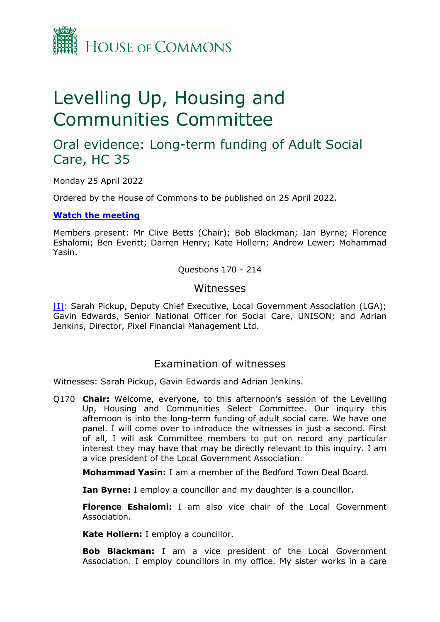

# Levelling Up, Housing and Communities Committee

# Oral evidence: Long-term funding of Adult Social Care, HC 35

Monday 25 April 2022

Ordered by the House of Commons to be published on 25 April 2022.

#### **[Watch](https://www.parliamentlive.tv/Event/Index/fe37333c-a1d7-46b9-867f-d8778418e198) [the](https://www.parliamentlive.tv/Event/Index/fe37333c-a1d7-46b9-867f-d8778418e198) [meeting](https://www.parliamentlive.tv/Event/Index/fe37333c-a1d7-46b9-867f-d8778418e198)**

Members present: Mr Clive Betts (Chair); Bob Blackman; Ian Byrne; Florence Eshalomi; Ben Everitt; Darren Henry; Kate Hollern; Andrew Lewer; Mohammad Yasin.

Questions 170 - 214

### **Witnesses**

[I]: Sarah Pickup, Deputy Chief Executive, Local Government Association (LGA); Gavin Edwards, Senior National Officer for Social Care, UNISON; and Adrian Jenkins, Director, Pixel Financial Management Ltd.

## Examination of witnesses

Witnesses: Sarah Pickup, Gavin Edwards and Adrian Jenkins.

Q170 **Chair:** Welcome, everyone, to this afternoon's session of the Levelling Up, Housing and Communities Select Committee. Our inquiry this afternoon is into the long-term funding of adult social care. We have one panel. I will come over to introduce the witnesses in just a second. First of all, I will ask Committee members to put on record any particular interest they may have that may be directly relevant to this inquiry. I am a vice president of the Local Government Association.

**Mohammad Yasin:** I am a member of the Bedford Town Deal Board.

**Ian Byrne:** I employ a councillor and my daughter is a councillor.

**Florence Eshalomi:** I am also vice chair of the Local Government Association.

**Kate Hollern:** I employ a councillor.

**Bob Blackman:** I am a vice president of the Local Government Association. I employ councillors in my office. My sister works in a care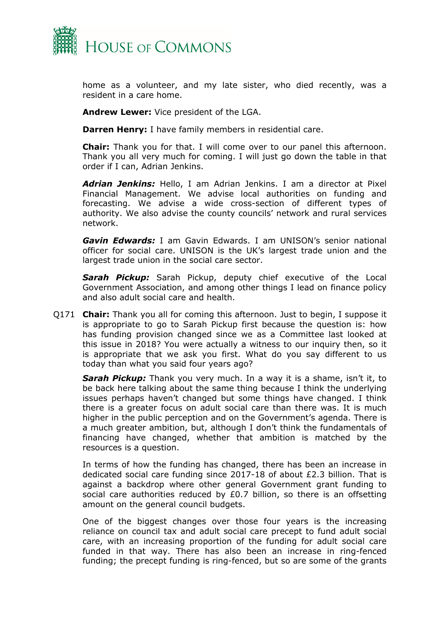

home as a volunteer, and my late sister, who died recently, was a resident in a care home.

**Andrew Lewer:** Vice president of the LGA.

**Darren Henry:** I have family members in residential care.

**Chair:** Thank you for that. I will come over to our panel this afternoon. Thank you all very much for coming. I will just go down the table in that order if I can, Adrian Jenkins.

*Adrian Jenkins:* Hello, I am Adrian Jenkins. I am a director at Pixel Financial Management. We advise local authorities on funding and forecasting. We advise a wide cross-section of different types of authority. We also advise the county councils' network and rural services network.

*Gavin Edwards:* I am Gavin Edwards. I am UNISON's senior national officer for social care. UNISON is the UK's largest trade union and the largest trade union in the social care sector.

*Sarah Pickup:* Sarah Pickup, deputy chief executive of the Local Government Association, and among other things I lead on finance policy and also adult social care and health.

Q171 **Chair:** Thank you all for coming this afternoon. Just to begin, I suppose it is appropriate to go to Sarah Pickup first because the question is: how has funding provision changed since we as a Committee last looked at this issue in 2018? You were actually a witness to our inquiry then, so it is appropriate that we ask you first. What do you say different to us today than what you said four years ago?

*Sarah Pickup:* Thank you very much. In a way it is a shame, isn't it, to be back here talking about the same thing because I think the underlying issues perhaps haven't changed but some things have changed. I think there is a greater focus on adult social care than there was. It is much higher in the public perception and on the Government's agenda. There is a much greater ambition, but, although I don't think the fundamentals of financing have changed, whether that ambition is matched by the resources is a question.

In terms of how the funding has changed, there has been an increase in dedicated social care funding since 2017-18 of about £2.3 billion. That is against a backdrop where other general Government grant funding to social care authorities reduced by £0.7 billion, so there is an offsetting amount on the general council budgets.

One of the biggest changes over those four years is the increasing reliance on council tax and adult social care precept to fund adult social care, with an increasing proportion of the funding for adult social care funded in that way. There has also been an increase in ring-fenced funding; the precept funding is ring-fenced, but so are some of the grants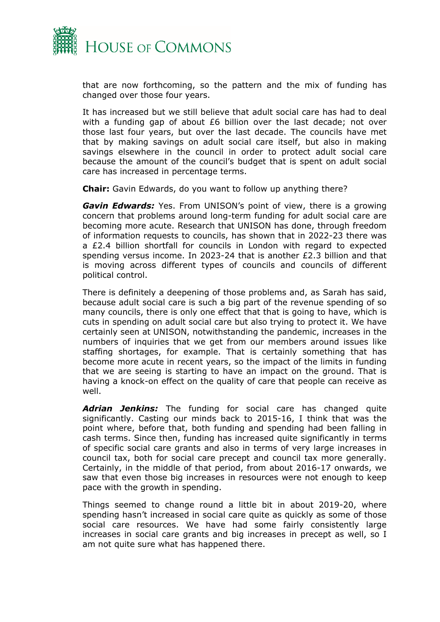

that are now forthcoming, so the pattern and the mix of funding has changed over those four years.

It has increased but we still believe that adult social care has had to deal with a funding gap of about £6 billion over the last decade; not over those last four years, but over the last decade. The councils have met that by making savings on adult social care itself, but also in making savings elsewhere in the council in order to protect adult social care because the amount of the council's budget that is spent on adult social care has increased in percentage terms.

**Chair:** Gavin Edwards, do you want to follow up anything there?

*Gavin Edwards:* Yes. From UNISON's point of view, there is a growing concern that problems around long-term funding for adult social care are becoming more acute. Research that UNISON has done, through freedom of information requests to councils, has shown that in 2022-23 there was a £2.4 billion shortfall for councils in London with regard to expected spending versus income. In 2023-24 that is another £2.3 billion and that is moving across different types of councils and councils of different political control.

There is definitely a deepening of those problems and, as Sarah has said, because adult social care is such a big part of the revenue spending of so many councils, there is only one effect that that is going to have, which is cuts in spending on adult social care but also trying to protect it. We have certainly seen at UNISON, notwithstanding the pandemic, increases in the numbers of inquiries that we get from our members around issues like staffing shortages, for example. That is certainly something that has become more acute in recent years, so the impact of the limits in funding that we are seeing is starting to have an impact on the ground. That is having a knock-on effect on the quality of care that people can receive as well.

*Adrian Jenkins:* The funding for social care has changed quite significantly. Casting our minds back to 2015-16, I think that was the point where, before that, both funding and spending had been falling in cash terms. Since then, funding has increased quite significantly in terms of specific social care grants and also in terms of very large increases in council tax, both for social care precept and council tax more generally. Certainly, in the middle of that period, from about 2016-17 onwards, we saw that even those big increases in resources were not enough to keep pace with the growth in spending.

Things seemed to change round a little bit in about 2019-20, where spending hasn't increased in social care quite as quickly as some of those social care resources. We have had some fairly consistently large increases in social care grants and big increases in precept as well, so I am not quite sure what has happened there.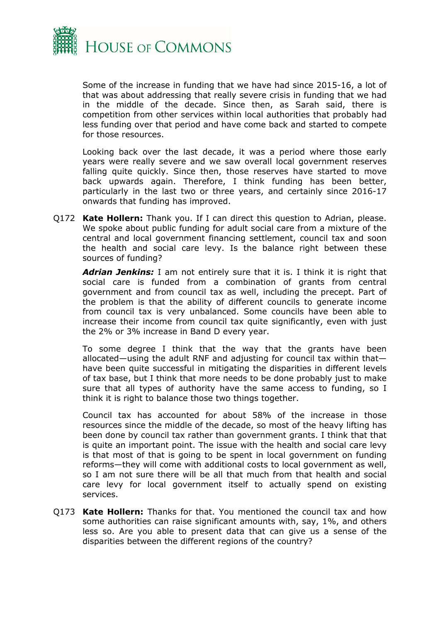

Some of the increase in funding that we have had since 2015-16, a lot of that was about addressing that really severe crisis in funding that we had in the middle of the decade. Since then, as Sarah said, there is competition from other services within local authorities that probably had less funding over that period and have come back and started to compete for those resources.

Looking back over the last decade, it was a period where those early years were really severe and we saw overall local government reserves falling quite quickly. Since then, those reserves have started to move back upwards again. Therefore, I think funding has been better, particularly in the last two or three years, and certainly since 2016-17 onwards that funding has improved.

Q172 **Kate Hollern:** Thank you. If I can direct this question to Adrian, please. We spoke about public funding for adult social care from a mixture of the central and local government financing settlement, council tax and soon the health and social care levy. Is the balance right between these sources of funding?

*Adrian Jenkins:* I am not entirely sure that it is. I think it is right that social care is funded from a combination of grants from central government and from council tax as well, including the precept. Part of the problem is that the ability of different councils to generate income from council tax is very unbalanced. Some councils have been able to increase their income from council tax quite significantly, even with just the 2% or 3% increase in Band D every year.

To some degree I think that the way that the grants have been allocated—using the adult RNF and adjusting for council tax within that have been quite successful in mitigating the disparities in different levels of tax base, but I think that more needs to be done probably just to make sure that all types of authority have the same access to funding, so I think it is right to balance those two things together.

Council tax has accounted for about 58% of the increase in those resources since the middle of the decade, so most of the heavy lifting has been done by council tax rather than government grants. I think that that is quite an important point. The issue with the health and social care levy is that most of that is going to be spent in local government on funding reforms—they will come with additional costs to local government as well, so I am not sure there will be all that much from that health and social care levy for local government itself to actually spend on existing services.

Q173 **Kate Hollern:** Thanks for that. You mentioned the council tax and how some authorities can raise significant amounts with, say, 1%, and others less so. Are you able to present data that can give us a sense of the disparities between the different regions of the country?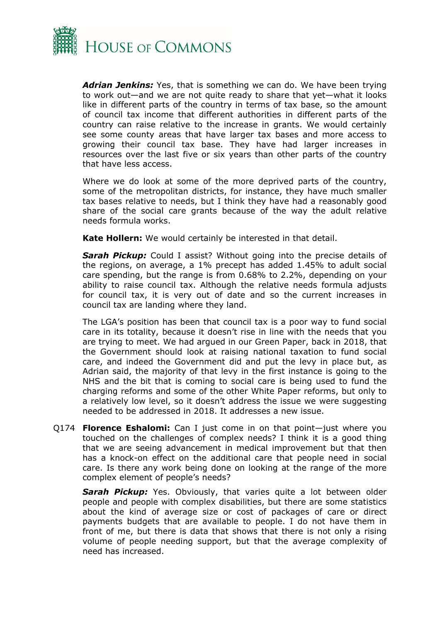

*Adrian Jenkins:* Yes, that is something we can do. We have been trying to work out—and we are not quite ready to share that yet—what it looks like in different parts of the country in terms of tax base, so the amount of council tax income that different authorities in different parts of the country can raise relative to the increase in grants. We would certainly see some county areas that have larger tax bases and more access to growing their council tax base. They have had larger increases in resources over the last five or six years than other parts of the country that have less access.

Where we do look at some of the more deprived parts of the country, some of the metropolitan districts, for instance, they have much smaller tax bases relative to needs, but I think they have had a reasonably good share of the social care grants because of the way the adult relative needs formula works.

**Kate Hollern:** We would certainly be interested in that detail.

*Sarah Pickup:* Could I assist? Without going into the precise details of the regions, on average, a 1% precept has added 1.45% to adult social care spending, but the range is from 0.68% to 2.2%, depending on your ability to raise council tax. Although the relative needs formula adjusts for council tax, it is very out of date and so the current increases in council tax are landing where they land.

The LGA's position has been that council tax is a poor way to fund social care in its totality, because it doesn't rise in line with the needs that you are trying to meet. We had argued in our Green Paper, back in 2018, that the Government should look at raising national taxation to fund social care, and indeed the Government did and put the levy in place but, as Adrian said, the majority of that levy in the first instance is going to the NHS and the bit that is coming to social care is being used to fund the charging reforms and some of the other White Paper reforms, but only to a relatively low level, so it doesn't address the issue we were suggesting needed to be addressed in 2018. It addresses a new issue.

Q174 **Florence Eshalomi:** Can I just come in on that point—just where you touched on the challenges of complex needs? I think it is a good thing that we are seeing advancement in medical improvement but that then has a knock-on effect on the additional care that people need in social care. Is there any work being done on looking at the range of the more complex element of people's needs?

**Sarah Pickup:** Yes. Obviously, that varies quite a lot between older people and people with complex disabilities, but there are some statistics about the kind of average size or cost of packages of care or direct payments budgets that are available to people. I do not have them in front of me, but there is data that shows that there is not only a rising volume of people needing support, but that the average complexity of need has increased.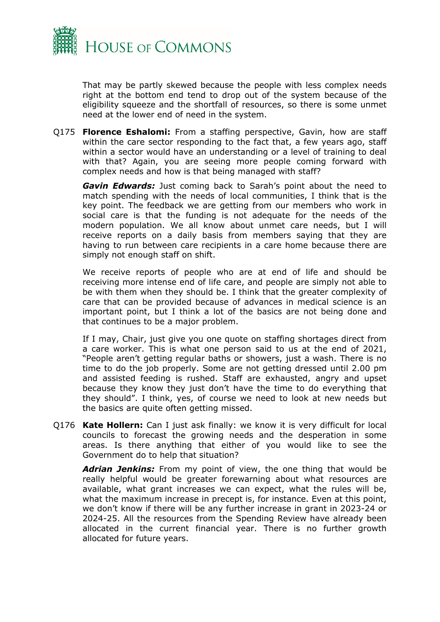

That may be partly skewed because the people with less complex needs right at the bottom end tend to drop out of the system because of the eligibility squeeze and the shortfall of resources, so there is some unmet need at the lower end of need in the system.

Q175 **Florence Eshalomi:** From a staffing perspective, Gavin, how are staff within the care sector responding to the fact that, a few years ago, staff within a sector would have an understanding or a level of training to deal with that? Again, you are seeing more people coming forward with complex needs and how is that being managed with staff?

*Gavin Edwards:* Just coming back to Sarah's point about the need to match spending with the needs of local communities, I think that is the key point. The feedback we are getting from our members who work in social care is that the funding is not adequate for the needs of the modern population. We all know about unmet care needs, but I will receive reports on a daily basis from members saying that they are having to run between care recipients in a care home because there are simply not enough staff on shift.

We receive reports of people who are at end of life and should be receiving more intense end of life care, and people are simply not able to be with them when they should be. I think that the greater complexity of care that can be provided because of advances in medical science is an important point, but I think a lot of the basics are not being done and that continues to be a major problem.

If I may, Chair, just give you one quote on staffing shortages direct from a care worker. This is what one person said to us at the end of 2021, "People aren't getting regular baths or showers, just a wash. There is no time to do the job properly. Some are not getting dressed until 2.00 pm and assisted feeding is rushed. Staff are exhausted, angry and upset because they know they just don't have the time to do everything that they should". I think, yes, of course we need to look at new needs but the basics are quite often getting missed.

Q176 **Kate Hollern:** Can I just ask finally: we know it is very difficult for local councils to forecast the growing needs and the desperation in some areas. Is there anything that either of you would like to see the Government do to help that situation?

*Adrian Jenkins:* From my point of view, the one thing that would be really helpful would be greater forewarning about what resources are available, what grant increases we can expect, what the rules will be, what the maximum increase in precept is, for instance. Even at this point, we don't know if there will be any further increase in grant in 2023-24 or 2024-25. All the resources from the Spending Review have already been allocated in the current financial year. There is no further growth allocated for future years.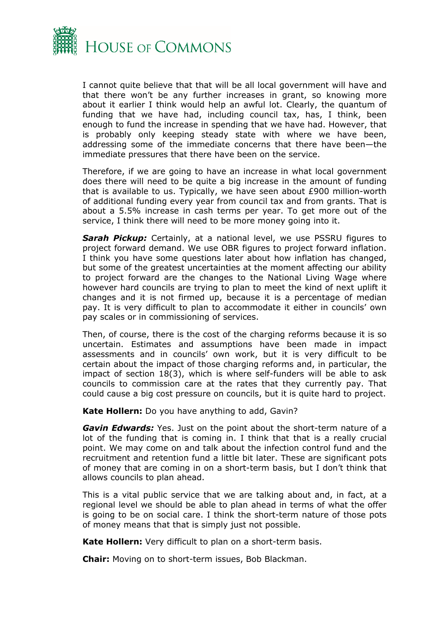

I cannot quite believe that that will be all local government will have and that there won't be any further increases in grant, so knowing more about it earlier I think would help an awful lot. Clearly, the quantum of funding that we have had, including council tax, has, I think, been enough to fund the increase in spending that we have had. However, that is probably only keeping steady state with where we have been, addressing some of the immediate concerns that there have been—the immediate pressures that there have been on the service.

Therefore, if we are going to have an increase in what local government does there will need to be quite a big increase in the amount of funding that is available to us. Typically, we have seen about £900 million-worth of additional funding every year from council tax and from grants. That is about a 5.5% increase in cash terms per year. To get more out of the service, I think there will need to be more money going into it.

*Sarah Pickup:* Certainly, at a national level, we use PSSRU figures to project forward demand. We use OBR figures to project forward inflation. I think you have some questions later about how inflation has changed, but some of the greatest uncertainties at the moment affecting our ability to project forward are the changes to the National Living Wage where however hard councils are trying to plan to meet the kind of next uplift it changes and it is not firmed up, because it is a percentage of median pay. It is very difficult to plan to accommodate it either in councils' own pay scales or in commissioning of services.

Then, of course, there is the cost of the charging reforms because it is so uncertain. Estimates and assumptions have been made in impact assessments and in councils' own work, but it is very difficult to be certain about the impact of those charging reforms and, in particular, the impact of section 18(3), which is where self-funders will be able to ask councils to commission care at the rates that they currently pay. That could cause a big cost pressure on councils, but it is quite hard to project.

**Kate Hollern:** Do you have anything to add, Gavin?

*Gavin Edwards:* Yes. Just on the point about the short-term nature of a lot of the funding that is coming in. I think that that is a really crucial point. We may come on and talk about the infection control fund and the recruitment and retention fund a little bit later. These are significant pots of money that are coming in on a short-term basis, but I don't think that allows councils to plan ahead.

This is a vital public service that we are talking about and, in fact, at a regional level we should be able to plan ahead in terms of what the offer is going to be on social care. I think the short-term nature of those pots of money means that that is simply just not possible.

**Kate Hollern:** Very difficult to plan on a short-term basis.

**Chair:** Moving on to short-term issues, Bob Blackman.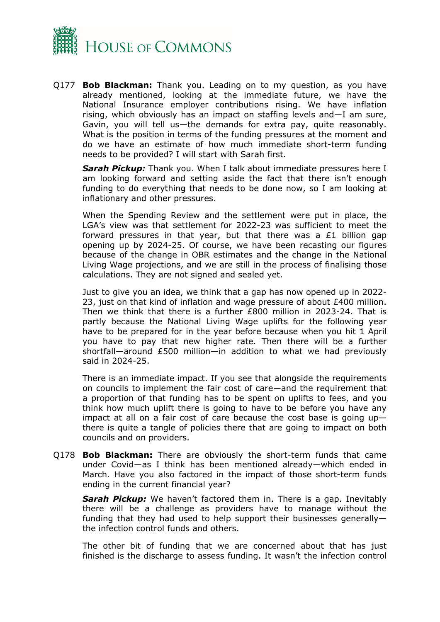

Q177 **Bob Blackman:** Thank you. Leading on to my question, as you have already mentioned, looking at the immediate future, we have the National Insurance employer contributions rising. We have inflation rising, which obviously has an impact on staffing levels and—I am sure, Gavin, you will tell us—the demands for extra pay, quite reasonably. What is the position in terms of the funding pressures at the moment and do we have an estimate of how much immediate short-term funding needs to be provided? I will start with Sarah first.

*Sarah Pickup:* Thank you. When I talk about immediate pressures here I am looking forward and setting aside the fact that there isn't enough funding to do everything that needs to be done now, so I am looking at inflationary and other pressures.

When the Spending Review and the settlement were put in place, the LGA's view was that settlement for 2022-23 was sufficient to meet the forward pressures in that year, but that there was a £1 billion gap opening up by 2024-25. Of course, we have been recasting our figures because of the change in OBR estimates and the change in the National Living Wage projections, and we are still in the process of finalising those calculations. They are not signed and sealed yet.

Just to give you an idea, we think that a gap has now opened up in 2022- 23, just on that kind of inflation and wage pressure of about £400 million. Then we think that there is a further £800 million in 2023-24. That is partly because the National Living Wage uplifts for the following year have to be prepared for in the year before because when you hit 1 April you have to pay that new higher rate. Then there will be a further shortfall—around £500 million—in addition to what we had previously said in 2024-25.

There is an immediate impact. If you see that alongside the requirements on councils to implement the fair cost of care—and the requirement that a proportion of that funding has to be spent on uplifts to fees, and you think how much uplift there is going to have to be before you have any impact at all on a fair cost of care because the cost base is going up there is quite a tangle of policies there that are going to impact on both councils and on providers.

Q178 **Bob Blackman:** There are obviously the short-term funds that came under Covid—as I think has been mentioned already—which ended in March. Have you also factored in the impact of those short-term funds ending in the current financial year?

*Sarah Pickup:* We haven't factored them in. There is a gap. Inevitably there will be a challenge as providers have to manage without the funding that they had used to help support their businesses generally the infection control funds and others.

The other bit of funding that we are concerned about that has just finished is the discharge to assess funding. It wasn't the infection control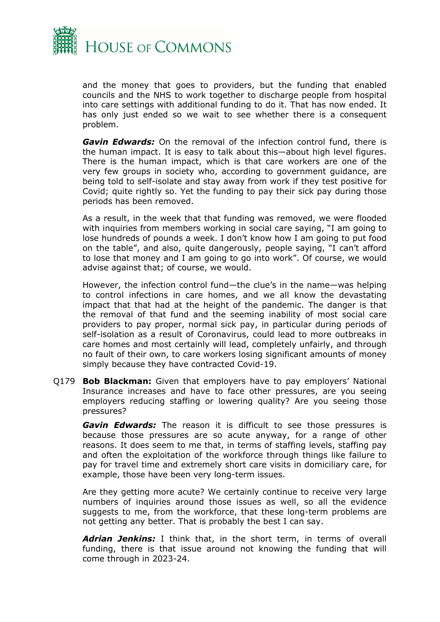

and the money that goes to providers, but the funding that enabled councils and the NHS to work together to discharge people from hospital into care settings with additional funding to do it. That has now ended. It has only just ended so we wait to see whether there is a consequent problem.

*Gavin Edwards:* On the removal of the infection control fund, there is the human impact. It is easy to talk about this—about high level figures. There is the human impact, which is that care workers are one of the very few groups in society who, according to government guidance, are being told to self-isolate and stay away from work if they test positive for Covid; quite rightly so. Yet the funding to pay their sick pay during those periods has been removed.

As a result, in the week that that funding was removed, we were flooded with inquiries from members working in social care saying, "I am going to lose hundreds of pounds a week. I don't know how I am going to put food on the table", and also, quite dangerously, people saying, "I can't afford to lose that money and I am going to go into work". Of course, we would advise against that; of course, we would.

However, the infection control fund—the clue's in the name—was helping to control infections in care homes, and we all know the devastating impact that that had at the height of the pandemic. The danger is that the removal of that fund and the seeming inability of most social care providers to pay proper, normal sick pay, in particular during periods of self-isolation as a result of Coronavirus, could lead to more outbreaks in care homes and most certainly will lead, completely unfairly, and through no fault of their own, to care workers losing significant amounts of money simply because they have contracted Covid-19.

Q179 **Bob Blackman:** Given that employers have to pay employers' National Insurance increases and have to face other pressures, are you seeing employers reducing staffing or lowering quality? Are you seeing those pressures?

*Gavin Edwards:* The reason it is difficult to see those pressures is because those pressures are so acute anyway, for a range of other reasons. It does seem to me that, in terms of staffing levels, staffing pay and often the exploitation of the workforce through things like failure to pay for travel time and extremely short care visits in domiciliary care, for example, those have been very long-term issues.

Are they getting more acute? We certainly continue to receive very large numbers of inquiries around those issues as well, so all the evidence suggests to me, from the workforce, that these long-term problems are not getting any better. That is probably the best I can say.

*Adrian Jenkins:* I think that, in the short term, in terms of overall funding, there is that issue around not knowing the funding that will come through in 2023-24.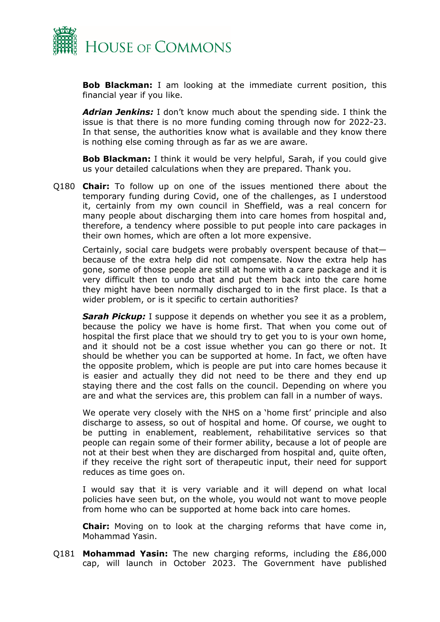

**Bob Blackman:** I am looking at the immediate current position, this financial year if you like.

*Adrian Jenkins:* I don't know much about the spending side. I think the issue is that there is no more funding coming through now for 2022-23. In that sense, the authorities know what is available and they know there is nothing else coming through as far as we are aware.

**Bob Blackman:** I think it would be very helpful, Sarah, if you could give us your detailed calculations when they are prepared. Thank you.

Q180 **Chair:** To follow up on one of the issues mentioned there about the temporary funding during Covid, one of the challenges, as I understood it, certainly from my own council in Sheffield, was a real concern for many people about discharging them into care homes from hospital and, therefore, a tendency where possible to put people into care packages in their own homes, which are often a lot more expensive.

Certainly, social care budgets were probably overspent because of that because of the extra help did not compensate. Now the extra help has gone, some of those people are still at home with a care package and it is very difficult then to undo that and put them back into the care home they might have been normally discharged to in the first place. Is that a wider problem, or is it specific to certain authorities?

*Sarah Pickup:* I suppose it depends on whether you see it as a problem, because the policy we have is home first. That when you come out of hospital the first place that we should try to get you to is your own home, and it should not be a cost issue whether you can go there or not. It should be whether you can be supported at home. In fact, we often have the opposite problem, which is people are put into care homes because it is easier and actually they did not need to be there and they end up staying there and the cost falls on the council. Depending on where you are and what the services are, this problem can fall in a number of ways.

We operate very closely with the NHS on a 'home first' principle and also discharge to assess, so out of hospital and home. Of course, we ought to be putting in enablement, reablement, rehabilitative services so that people can regain some of their former ability, because a lot of people are not at their best when they are discharged from hospital and, quite often, if they receive the right sort of therapeutic input, their need for support reduces as time goes on.

I would say that it is very variable and it will depend on what local policies have seen but, on the whole, you would not want to move people from home who can be supported at home back into care homes.

**Chair:** Moving on to look at the charging reforms that have come in, Mohammad Yasin.

Q181 **Mohammad Yasin:** The new charging reforms, including the £86,000 cap, will launch in October 2023. The Government have published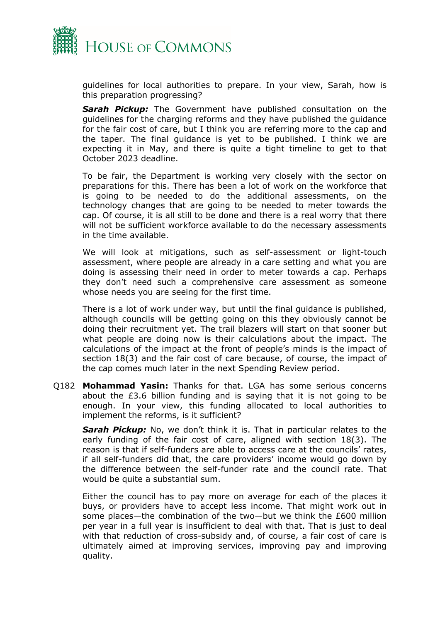

guidelines for local authorities to prepare. In your view, Sarah, how is this preparation progressing?

*Sarah Pickup:* The Government have published consultation on the guidelines for the charging reforms and they have published the guidance for the fair cost of care, but I think you are referring more to the cap and the taper. The final guidance is yet to be published. I think we are expecting it in May, and there is quite a tight timeline to get to that October 2023 deadline.

To be fair, the Department is working very closely with the sector on preparations for this. There has been a lot of work on the workforce that is going to be needed to do the additional assessments, on the technology changes that are going to be needed to meter towards the cap. Of course, it is all still to be done and there is a real worry that there will not be sufficient workforce available to do the necessary assessments in the time available.

We will look at mitigations, such as self-assessment or light-touch assessment, where people are already in a care setting and what you are doing is assessing their need in order to meter towards a cap. Perhaps they don't need such a comprehensive care assessment as someone whose needs you are seeing for the first time.

There is a lot of work under way, but until the final guidance is published, although councils will be getting going on this they obviously cannot be doing their recruitment yet. The trail blazers will start on that sooner but what people are doing now is their calculations about the impact. The calculations of the impact at the front of people's minds is the impact of section 18(3) and the fair cost of care because, of course, the impact of the cap comes much later in the next Spending Review period.

Q182 **Mohammad Yasin:** Thanks for that. LGA has some serious concerns about the £3.6 billion funding and is saying that it is not going to be enough. In your view, this funding allocated to local authorities to implement the reforms, is it sufficient?

*Sarah Pickup:* No, we don't think it is. That in particular relates to the early funding of the fair cost of care, aligned with section 18(3). The reason is that if self-funders are able to access care at the councils' rates, if all self-funders did that, the care providers' income would go down by the difference between the self-funder rate and the council rate. That would be quite a substantial sum.

Either the council has to pay more on average for each of the places it buys, or providers have to accept less income. That might work out in some places—the combination of the two—but we think the £600 million per year in a full year is insufficient to deal with that. That is just to deal with that reduction of cross-subsidy and, of course, a fair cost of care is ultimately aimed at improving services, improving pay and improving quality.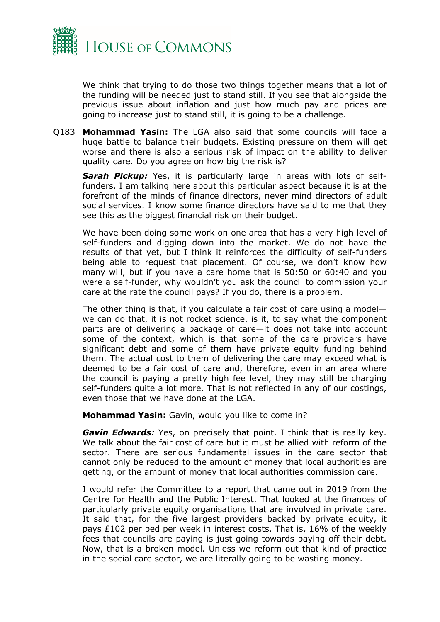

We think that trying to do those two things together means that a lot of the funding will be needed just to stand still. If you see that alongside the previous issue about inflation and just how much pay and prices are going to increase just to stand still, it is going to be a challenge.

Q183 **Mohammad Yasin:** The LGA also said that some councils will face a huge battle to balance their budgets. Existing pressure on them will get worse and there is also a serious risk of impact on the ability to deliver quality care. Do you agree on how big the risk is?

*Sarah Pickup:* Yes, it is particularly large in areas with lots of selffunders. I am talking here about this particular aspect because it is at the forefront of the minds of finance directors, never mind directors of adult social services. I know some finance directors have said to me that they see this as the biggest financial risk on their budget.

We have been doing some work on one area that has a very high level of self-funders and digging down into the market. We do not have the results of that yet, but I think it reinforces the difficulty of self-funders being able to request that placement. Of course, we don't know how many will, but if you have a care home that is 50:50 or 60:40 and you were a self-funder, why wouldn't you ask the council to commission your care at the rate the council pays? If you do, there is a problem.

The other thing is that, if you calculate a fair cost of care using a model we can do that, it is not rocket science, is it, to say what the component parts are of delivering a package of care—it does not take into account some of the context, which is that some of the care providers have significant debt and some of them have private equity funding behind them. The actual cost to them of delivering the care may exceed what is deemed to be a fair cost of care and, therefore, even in an area where the council is paying a pretty high fee level, they may still be charging self-funders quite a lot more. That is not reflected in any of our costings, even those that we have done at the LGA.

**Mohammad Yasin:** Gavin, would you like to come in?

*Gavin Edwards:* Yes, on precisely that point. I think that is really key. We talk about the fair cost of care but it must be allied with reform of the sector. There are serious fundamental issues in the care sector that cannot only be reduced to the amount of money that local authorities are getting, or the amount of money that local authorities commission care.

I would refer the Committee to a report that came out in 2019 from the Centre for Health and the Public Interest. That looked at the finances of particularly private equity organisations that are involved in private care. It said that, for the five largest providers backed by private equity, it pays £102 per bed per week in interest costs. That is, 16% of the weekly fees that councils are paying is just going towards paying off their debt. Now, that is a broken model. Unless we reform out that kind of practice in the social care sector, we are literally going to be wasting money.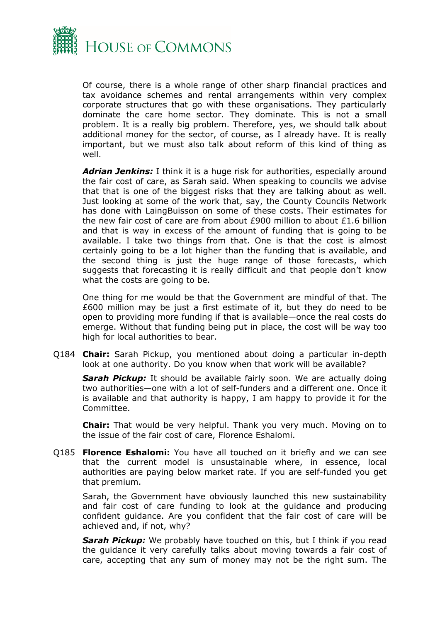

Of course, there is a whole range of other sharp financial practices and tax avoidance schemes and rental arrangements within very complex corporate structures that go with these organisations. They particularly dominate the care home sector. They dominate. This is not a small problem. It is a really big problem. Therefore, yes, we should talk about additional money for the sector, of course, as I already have. It is really important, but we must also talk about reform of this kind of thing as well.

*Adrian Jenkins:* I think it is a huge risk for authorities, especially around the fair cost of care, as Sarah said. When speaking to councils we advise that that is one of the biggest risks that they are talking about as well. Just looking at some of the work that, say, the County Councils Network has done with LaingBuisson on some of these costs. Their estimates for the new fair cost of care are from about £900 million to about £1.6 billion and that is way in excess of the amount of funding that is going to be available. I take two things from that. One is that the cost is almost certainly going to be a lot higher than the funding that is available, and the second thing is just the huge range of those forecasts, which suggests that forecasting it is really difficult and that people don't know what the costs are going to be.

One thing for me would be that the Government are mindful of that. The £600 million may be just a first estimate of it, but they do need to be open to providing more funding if that is available—once the real costs do emerge. Without that funding being put in place, the cost will be way too high for local authorities to bear.

Q184 **Chair:** Sarah Pickup, you mentioned about doing a particular in-depth look at one authority. Do you know when that work will be available?

**Sarah Pickup:** It should be available fairly soon. We are actually doing two authorities—one with a lot of self-funders and a different one. Once it is available and that authority is happy, I am happy to provide it for the Committee.

**Chair:** That would be very helpful. Thank you very much. Moving on to the issue of the fair cost of care, Florence Eshalomi.

Q185 **Florence Eshalomi:** You have all touched on it briefly and we can see that the current model is unsustainable where, in essence, local authorities are paying below market rate. If you are self-funded you get that premium.

Sarah, the Government have obviously launched this new sustainability and fair cost of care funding to look at the guidance and producing confident guidance. Are you confident that the fair cost of care will be achieved and, if not, why?

*Sarah Pickup:* We probably have touched on this, but I think if you read the guidance it very carefully talks about moving towards a fair cost of care, accepting that any sum of money may not be the right sum. The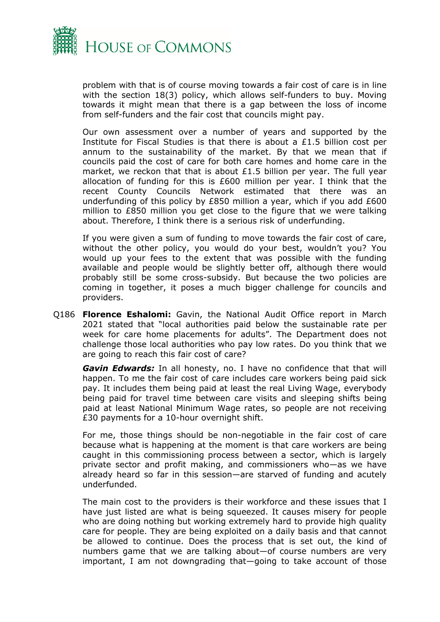

problem with that is of course moving towards a fair cost of care is in line with the section 18(3) policy, which allows self-funders to buy. Moving towards it might mean that there is a gap between the loss of income from self-funders and the fair cost that councils might pay.

Our own assessment over a number of years and supported by the Institute for Fiscal Studies is that there is about a £1.5 billion cost per annum to the sustainability of the market. By that we mean that if councils paid the cost of care for both care homes and home care in the market, we reckon that that is about  $£1.5$  billion per year. The full year allocation of funding for this is £600 million per year. I think that the recent County Councils Network estimated that there was an underfunding of this policy by £850 million a year, which if you add £600 million to £850 million you get close to the figure that we were talking about. Therefore, I think there is a serious risk of underfunding.

If you were given a sum of funding to move towards the fair cost of care, without the other policy, you would do your best, wouldn't you? You would up your fees to the extent that was possible with the funding available and people would be slightly better off, although there would probably still be some cross-subsidy. But because the two policies are coming in together, it poses a much bigger challenge for councils and providers.

Q186 **Florence Eshalomi:** Gavin, the National Audit Office report in March 2021 stated that "local authorities paid below the sustainable rate per week for care home placements for adults". The Department does not challenge those local authorities who pay low rates. Do you think that we are going to reach this fair cost of care?

*Gavin Edwards:* In all honesty, no. I have no confidence that that will happen. To me the fair cost of care includes care workers being paid sick pay. It includes them being paid at least the real Living Wage, everybody being paid for travel time between care visits and sleeping shifts being paid at least National Minimum Wage rates, so people are not receiving £30 payments for a 10-hour overnight shift.

For me, those things should be non-negotiable in the fair cost of care because what is happening at the moment is that care workers are being caught in this commissioning process between a sector, which is largely private sector and profit making, and commissioners who—as we have already heard so far in this session—are starved of funding and acutely underfunded.

The main cost to the providers is their workforce and these issues that I have just listed are what is being squeezed. It causes misery for people who are doing nothing but working extremely hard to provide high quality care for people. They are being exploited on a daily basis and that cannot be allowed to continue. Does the process that is set out, the kind of numbers game that we are talking about—of course numbers are very important, I am not downgrading that—going to take account of those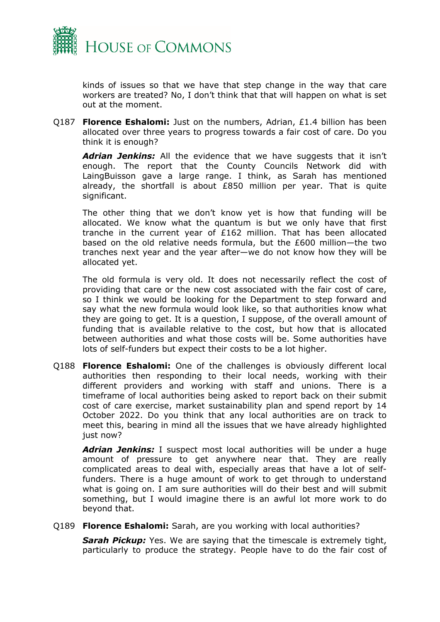

kinds of issues so that we have that step change in the way that care workers are treated? No, I don't think that that will happen on what is set out at the moment.

Q187 **Florence Eshalomi:** Just on the numbers, Adrian, £1.4 billion has been allocated over three years to progress towards a fair cost of care. Do you think it is enough?

*Adrian Jenkins:* All the evidence that we have suggests that it isn't enough. The report that the County Councils Network did with LaingBuisson gave a large range. I think, as Sarah has mentioned already, the shortfall is about £850 million per year. That is quite significant.

The other thing that we don't know yet is how that funding will be allocated. We know what the quantum is but we only have that first tranche in the current year of £162 million. That has been allocated based on the old relative needs formula, but the £600 million—the two tranches next year and the year after—we do not know how they will be allocated yet.

The old formula is very old. It does not necessarily reflect the cost of providing that care or the new cost associated with the fair cost of care, so I think we would be looking for the Department to step forward and say what the new formula would look like, so that authorities know what they are going to get. It is a question, I suppose, of the overall amount of funding that is available relative to the cost, but how that is allocated between authorities and what those costs will be. Some authorities have lots of self-funders but expect their costs to be a lot higher.

Q188 **Florence Eshalomi:** One of the challenges is obviously different local authorities then responding to their local needs, working with their different providers and working with staff and unions. There is a timeframe of local authorities being asked to report back on their submit cost of care exercise, market sustainability plan and spend report by 14 October 2022. Do you think that any local authorities are on track to meet this, bearing in mind all the issues that we have already highlighted just now?

*Adrian Jenkins:* I suspect most local authorities will be under a huge amount of pressure to get anywhere near that. They are really complicated areas to deal with, especially areas that have a lot of selffunders. There is a huge amount of work to get through to understand what is going on. I am sure authorities will do their best and will submit something, but I would imagine there is an awful lot more work to do beyond that.

Q189 **Florence Eshalomi:** Sarah, are you working with local authorities?

*Sarah Pickup:* Yes. We are saying that the timescale is extremely tight, particularly to produce the strategy. People have to do the fair cost of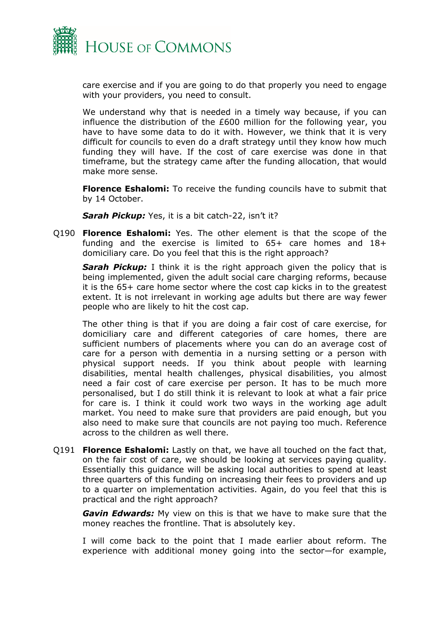

care exercise and if you are going to do that properly you need to engage with your providers, you need to consult.

We understand why that is needed in a timely way because, if you can influence the distribution of the £600 million for the following year, you have to have some data to do it with. However, we think that it is very difficult for councils to even do a draft strategy until they know how much funding they will have. If the cost of care exercise was done in that timeframe, but the strategy came after the funding allocation, that would make more sense.

**Florence Eshalomi:** To receive the funding councils have to submit that by 14 October.

*Sarah Pickup:* Yes, it is a bit catch-22, isn't it?

Q190 **Florence Eshalomi:** Yes. The other element is that the scope of the funding and the exercise is limited to 65+ care homes and 18+ domiciliary care. Do you feel that this is the right approach?

*Sarah Pickup:* I think it is the right approach given the policy that is being implemented, given the adult social care charging reforms, because it is the 65+ care home sector where the cost cap kicks in to the greatest extent. It is not irrelevant in working age adults but there are way fewer people who are likely to hit the cost cap.

The other thing is that if you are doing a fair cost of care exercise, for domiciliary care and different categories of care homes, there are sufficient numbers of placements where you can do an average cost of care for a person with dementia in a nursing setting or a person with physical support needs. If you think about people with learning disabilities, mental health challenges, physical disabilities, you almost need a fair cost of care exercise per person. It has to be much more personalised, but I do still think it is relevant to look at what a fair price for care is. I think it could work two ways in the working age adult market. You need to make sure that providers are paid enough, but you also need to make sure that councils are not paying too much. Reference across to the children as well there.

Q191 **Florence Eshalomi:** Lastly on that, we have all touched on the fact that, on the fair cost of care, we should be looking at services paying quality. Essentially this guidance will be asking local authorities to spend at least three quarters of this funding on increasing their fees to providers and up to a quarter on implementation activities. Again, do you feel that this is practical and the right approach?

*Gavin Edwards:* My view on this is that we have to make sure that the money reaches the frontline. That is absolutely key.

I will come back to the point that I made earlier about reform. The experience with additional money going into the sector—for example,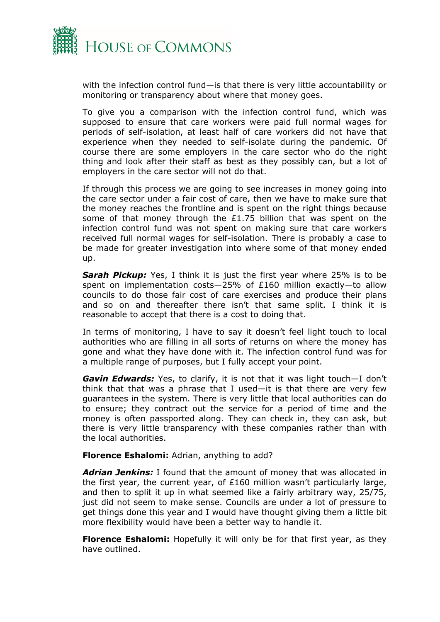

with the infection control fund—is that there is very little accountability or monitoring or transparency about where that money goes.

To give you a comparison with the infection control fund, which was supposed to ensure that care workers were paid full normal wages for periods of self-isolation, at least half of care workers did not have that experience when they needed to self-isolate during the pandemic. Of course there are some employers in the care sector who do the right thing and look after their staff as best as they possibly can, but a lot of employers in the care sector will not do that.

If through this process we are going to see increases in money going into the care sector under a fair cost of care, then we have to make sure that the money reaches the frontline and is spent on the right things because some of that money through the £1.75 billion that was spent on the infection control fund was not spent on making sure that care workers received full normal wages for self-isolation. There is probably a case to be made for greater investigation into where some of that money ended up.

*Sarah Pickup:* Yes, I think it is just the first year where 25% is to be spent on implementation costs—25% of £160 million exactly—to allow councils to do those fair cost of care exercises and produce their plans and so on and thereafter there isn't that same split. I think it is reasonable to accept that there is a cost to doing that.

In terms of monitoring, I have to say it doesn't feel light touch to local authorities who are filling in all sorts of returns on where the money has gone and what they have done with it. The infection control fund was for a multiple range of purposes, but I fully accept your point.

*Gavin Edwards:* Yes, to clarify, it is not that it was light touch—I don't think that that was a phrase that I used—it is that there are very few guarantees in the system. There is very little that local authorities can do to ensure; they contract out the service for a period of time and the money is often passported along. They can check in, they can ask, but there is very little transparency with these companies rather than with the local authorities.

**Florence Eshalomi:** Adrian, anything to add?

*Adrian Jenkins:* I found that the amount of money that was allocated in the first year, the current year, of £160 million wasn't particularly large, and then to split it up in what seemed like a fairly arbitrary way, 25/75, just did not seem to make sense. Councils are under a lot of pressure to get things done this year and I would have thought giving them a little bit more flexibility would have been a better way to handle it.

**Florence Eshalomi:** Hopefully it will only be for that first year, as they have outlined.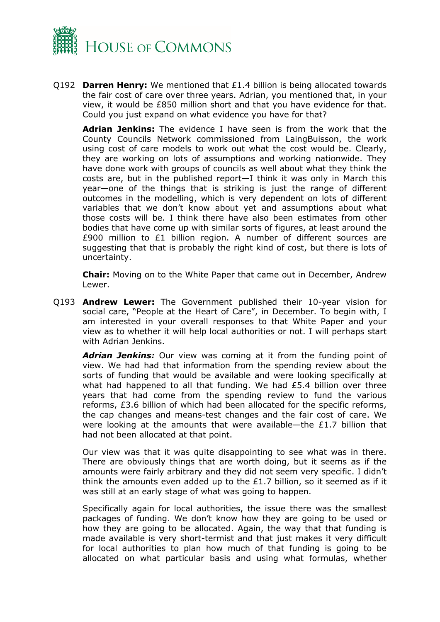

Q192 **Darren Henry:** We mentioned that £1.4 billion is being allocated towards the fair cost of care over three years. Adrian, you mentioned that, in your view, it would be £850 million short and that you have evidence for that. Could you just expand on what evidence you have for that?

**Adrian Jenkins:** The evidence I have seen is from the work that the County Councils Network commissioned from LaingBuisson, the work using cost of care models to work out what the cost would be. Clearly, they are working on lots of assumptions and working nationwide. They have done work with groups of councils as well about what they think the costs are, but in the published report—I think it was only in March this year—one of the things that is striking is just the range of different outcomes in the modelling, which is very dependent on lots of different variables that we don't know about yet and assumptions about what those costs will be. I think there have also been estimates from other bodies that have come up with similar sorts of figures, at least around the £900 million to £1 billion region. A number of different sources are suggesting that that is probably the right kind of cost, but there is lots of uncertainty.

**Chair:** Moving on to the White Paper that came out in December, Andrew Lewer.

Q193 **Andrew Lewer:** The Government published their 10-year vision for social care, "People at the Heart of Care", in December. To begin with, I am interested in your overall responses to that White Paper and your view as to whether it will help local authorities or not. I will perhaps start with Adrian Jenkins.

*Adrian Jenkins:* Our view was coming at it from the funding point of view. We had had that information from the spending review about the sorts of funding that would be available and were looking specifically at what had happened to all that funding. We had £5.4 billion over three years that had come from the spending review to fund the various reforms, £3.6 billion of which had been allocated for the specific reforms, the cap changes and means-test changes and the fair cost of care. We were looking at the amounts that were available—the  $E1.7$  billion that had not been allocated at that point.

Our view was that it was quite disappointing to see what was in there. There are obviously things that are worth doing, but it seems as if the amounts were fairly arbitrary and they did not seem very specific. I didn't think the amounts even added up to the  $£1.7$  billion, so it seemed as if it was still at an early stage of what was going to happen.

Specifically again for local authorities, the issue there was the smallest packages of funding. We don't know how they are going to be used or how they are going to be allocated. Again, the way that that funding is made available is very short-termist and that just makes it very difficult for local authorities to plan how much of that funding is going to be allocated on what particular basis and using what formulas, whether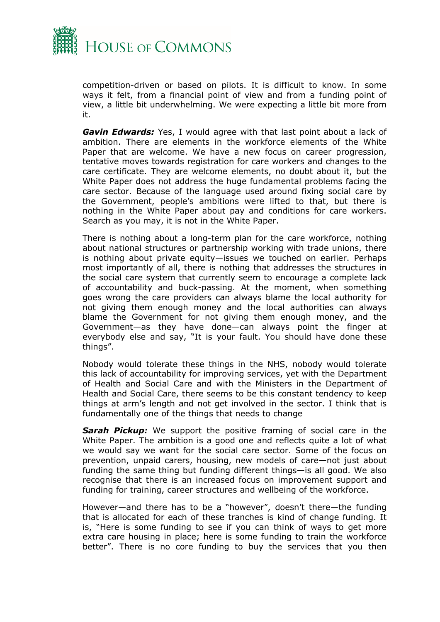

competition-driven or based on pilots. It is difficult to know. In some ways it felt, from a financial point of view and from a funding point of view, a little bit underwhelming. We were expecting a little bit more from it.

*Gavin Edwards:* Yes, I would agree with that last point about a lack of ambition. There are elements in the workforce elements of the White Paper that are welcome. We have a new focus on career progression, tentative moves towards registration for care workers and changes to the care certificate. They are welcome elements, no doubt about it, but the White Paper does not address the huge fundamental problems facing the care sector. Because of the language used around fixing social care by the Government, people's ambitions were lifted to that, but there is nothing in the White Paper about pay and conditions for care workers. Search as you may, it is not in the White Paper.

There is nothing about a long-term plan for the care workforce, nothing about national structures or partnership working with trade unions, there is nothing about private equity—issues we touched on earlier. Perhaps most importantly of all, there is nothing that addresses the structures in the social care system that currently seem to encourage a complete lack of accountability and buck-passing. At the moment, when something goes wrong the care providers can always blame the local authority for not giving them enough money and the local authorities can always blame the Government for not giving them enough money, and the Government—as they have done—can always point the finger at everybody else and say, "It is your fault. You should have done these things".

Nobody would tolerate these things in the NHS, nobody would tolerate this lack of accountability for improving services, yet with the Department of Health and Social Care and with the Ministers in the Department of Health and Social Care, there seems to be this constant tendency to keep things at arm's length and not get involved in the sector. I think that is fundamentally one of the things that needs to change

**Sarah Pickup:** We support the positive framing of social care in the White Paper. The ambition is a good one and reflects quite a lot of what we would say we want for the social care sector. Some of the focus on prevention, unpaid carers, housing, new models of care—not just about funding the same thing but funding different things—is all good. We also recognise that there is an increased focus on improvement support and funding for training, career structures and wellbeing of the workforce.

However—and there has to be a "however", doesn't there—the funding that is allocated for each of these tranches is kind of change funding. It is, "Here is some funding to see if you can think of ways to get more extra care housing in place; here is some funding to train the workforce better". There is no core funding to buy the services that you then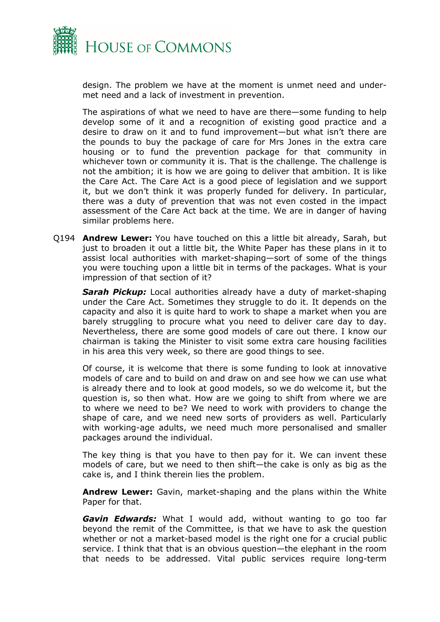

design. The problem we have at the moment is unmet need and undermet need and a lack of investment in prevention.

The aspirations of what we need to have are there—some funding to help develop some of it and a recognition of existing good practice and a desire to draw on it and to fund improvement—but what isn't there are the pounds to buy the package of care for Mrs Jones in the extra care housing or to fund the prevention package for that community in whichever town or community it is. That is the challenge. The challenge is not the ambition; it is how we are going to deliver that ambition. It is like the Care Act. The Care Act is a good piece of legislation and we support it, but we don't think it was properly funded for delivery. In particular, there was a duty of prevention that was not even costed in the impact assessment of the Care Act back at the time. We are in danger of having similar problems here.

Q194 **Andrew Lewer:** You have touched on this a little bit already, Sarah, but just to broaden it out a little bit, the White Paper has these plans in it to assist local authorities with market-shaping—sort of some of the things you were touching upon a little bit in terms of the packages. What is your impression of that section of it?

*Sarah Pickup:* Local authorities already have a duty of market-shaping under the Care Act. Sometimes they struggle to do it. It depends on the capacity and also it is quite hard to work to shape a market when you are barely struggling to procure what you need to deliver care day to day. Nevertheless, there are some good models of care out there. I know our chairman is taking the Minister to visit some extra care housing facilities in his area this very week, so there are good things to see.

Of course, it is welcome that there is some funding to look at innovative models of care and to build on and draw on and see how we can use what is already there and to look at good models, so we do welcome it, but the question is, so then what. How are we going to shift from where we are to where we need to be? We need to work with providers to change the shape of care, and we need new sorts of providers as well. Particularly with working-age adults, we need much more personalised and smaller packages around the individual.

The key thing is that you have to then pay for it. We can invent these models of care, but we need to then shift—the cake is only as big as the cake is, and I think therein lies the problem.

**Andrew Lewer:** Gavin, market-shaping and the plans within the White Paper for that.

*Gavin Edwards:* What I would add, without wanting to go too far beyond the remit of the Committee, is that we have to ask the question whether or not a market-based model is the right one for a crucial public service. I think that that is an obvious question—the elephant in the room that needs to be addressed. Vital public services require long-term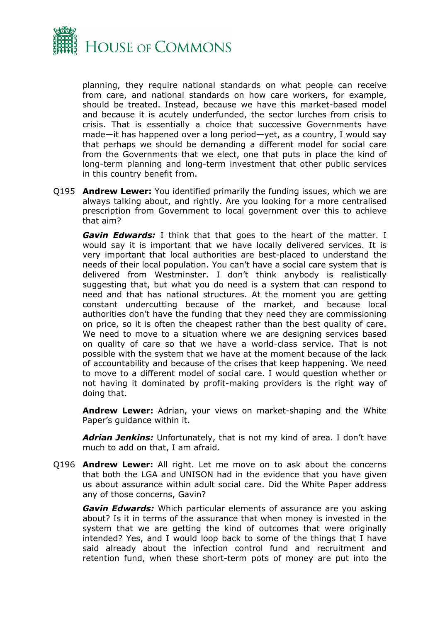

planning, they require national standards on what people can receive from care, and national standards on how care workers, for example, should be treated. Instead, because we have this market-based model and because it is acutely underfunded, the sector lurches from crisis to crisis. That is essentially a choice that successive Governments have made—it has happened over a long period—yet, as a country, I would say that perhaps we should be demanding a different model for social care from the Governments that we elect, one that puts in place the kind of long-term planning and long-term investment that other public services in this country benefit from.

Q195 **Andrew Lewer:** You identified primarily the funding issues, which we are always talking about, and rightly. Are you looking for a more centralised prescription from Government to local government over this to achieve that aim?

*Gavin Edwards:* I think that that goes to the heart of the matter. I would say it is important that we have locally delivered services. It is very important that local authorities are best-placed to understand the needs of their local population. You can't have a social care system that is delivered from Westminster. I don't think anybody is realistically suggesting that, but what you do need is a system that can respond to need and that has national structures. At the moment you are getting constant undercutting because of the market, and because local authorities don't have the funding that they need they are commissioning on price, so it is often the cheapest rather than the best quality of care. We need to move to a situation where we are designing services based on quality of care so that we have a world-class service. That is not possible with the system that we have at the moment because of the lack of accountability and because of the crises that keep happening. We need to move to a different model of social care. I would question whether or not having it dominated by profit-making providers is the right way of doing that.

**Andrew Lewer:** Adrian, your views on market-shaping and the White Paper's quidance within it.

*Adrian Jenkins:* Unfortunately, that is not my kind of area. I don't have much to add on that, I am afraid.

Q196 **Andrew Lewer:** All right. Let me move on to ask about the concerns that both the LGA and UNISON had in the evidence that you have given us about assurance within adult social care. Did the White Paper address any of those concerns, Gavin?

*Gavin Edwards:* Which particular elements of assurance are you asking about? Is it in terms of the assurance that when money is invested in the system that we are getting the kind of outcomes that were originally intended? Yes, and I would loop back to some of the things that I have said already about the infection control fund and recruitment and retention fund, when these short-term pots of money are put into the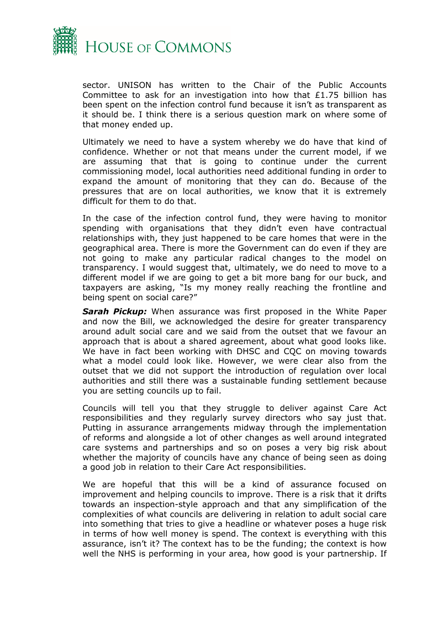

sector. UNISON has written to the Chair of the Public Accounts Committee to ask for an investigation into how that £1.75 billion has been spent on the infection control fund because it isn't as transparent as it should be. I think there is a serious question mark on where some of that money ended up.

Ultimately we need to have a system whereby we do have that kind of confidence. Whether or not that means under the current model, if we are assuming that that is going to continue under the current commissioning model, local authorities need additional funding in order to expand the amount of monitoring that they can do. Because of the pressures that are on local authorities, we know that it is extremely difficult for them to do that.

In the case of the infection control fund, they were having to monitor spending with organisations that they didn't even have contractual relationships with, they just happened to be care homes that were in the geographical area. There is more the Government can do even if they are not going to make any particular radical changes to the model on transparency. I would suggest that, ultimately, we do need to move to a different model if we are going to get a bit more bang for our buck, and taxpayers are asking, "Is my money really reaching the frontline and being spent on social care?"

*Sarah Pickup:* When assurance was first proposed in the White Paper and now the Bill, we acknowledged the desire for greater transparency around adult social care and we said from the outset that we favour an approach that is about a shared agreement, about what good looks like. We have in fact been working with DHSC and CQC on moving towards what a model could look like. However, we were clear also from the outset that we did not support the introduction of regulation over local authorities and still there was a sustainable funding settlement because you are setting councils up to fail.

Councils will tell you that they struggle to deliver against Care Act responsibilities and they regularly survey directors who say just that. Putting in assurance arrangements midway through the implementation of reforms and alongside a lot of other changes as well around integrated care systems and partnerships and so on poses a very big risk about whether the majority of councils have any chance of being seen as doing a good job in relation to their Care Act responsibilities.

We are hopeful that this will be a kind of assurance focused on improvement and helping councils to improve. There is a risk that it drifts towards an inspection-style approach and that any simplification of the complexities of what councils are delivering in relation to adult social care into something that tries to give a headline or whatever poses a huge risk in terms of how well money is spend. The context is everything with this assurance, isn't it? The context has to be the funding; the context is how well the NHS is performing in your area, how good is your partnership. If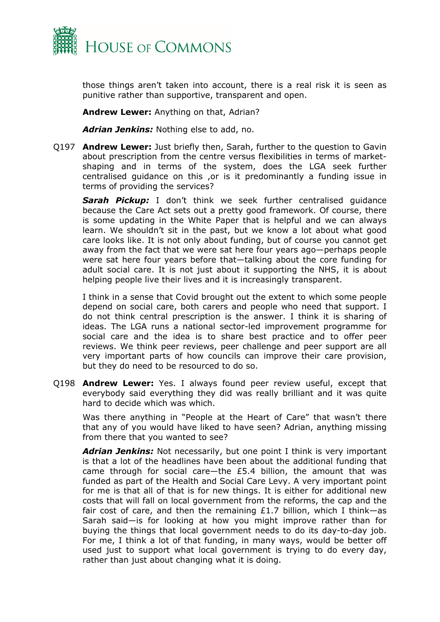

those things aren't taken into account, there is a real risk it is seen as punitive rather than supportive, transparent and open.

**Andrew Lewer:** Anything on that, Adrian?

*Adrian Jenkins:* Nothing else to add, no.

Q197 **Andrew Lewer:** Just briefly then, Sarah, further to the question to Gavin about prescription from the centre versus flexibilities in terms of marketshaping and in terms of the system, does the LGA seek further centralised guidance on this ,or is it predominantly a funding issue in terms of providing the services?

*Sarah Pickup:* I don't think we seek further centralised guidance because the Care Act sets out a pretty good framework. Of course, there is some updating in the White Paper that is helpful and we can always learn. We shouldn't sit in the past, but we know a lot about what good care looks like. It is not only about funding, but of course you cannot get away from the fact that we were sat here four years ago—perhaps people were sat here four years before that—talking about the core funding for adult social care. It is not just about it supporting the NHS, it is about helping people live their lives and it is increasingly transparent.

I think in a sense that Covid brought out the extent to which some people depend on social care, both carers and people who need that support. I do not think central prescription is the answer. I think it is sharing of ideas. The LGA runs a national sector-led improvement programme for social care and the idea is to share best practice and to offer peer reviews. We think peer reviews, peer challenge and peer support are all very important parts of how councils can improve their care provision, but they do need to be resourced to do so.

Q198 **Andrew Lewer:** Yes. I always found peer review useful, except that everybody said everything they did was really brilliant and it was quite hard to decide which was which.

Was there anything in "People at the Heart of Care" that wasn't there that any of you would have liked to have seen? Adrian, anything missing from there that you wanted to see?

*Adrian Jenkins:* Not necessarily, but one point I think is very important is that a lot of the headlines have been about the additional funding that came through for social care—the £5.4 billion, the amount that was funded as part of the Health and Social Care Levy. A very important point for me is that all of that is for new things. It is either for additional new costs that will fall on local government from the reforms, the cap and the fair cost of care, and then the remaining  $£1.7$  billion, which I think-as Sarah said—is for looking at how you might improve rather than for buying the things that local government needs to do its day-to-day job. For me, I think a lot of that funding, in many ways, would be better off used just to support what local government is trying to do every day, rather than just about changing what it is doing.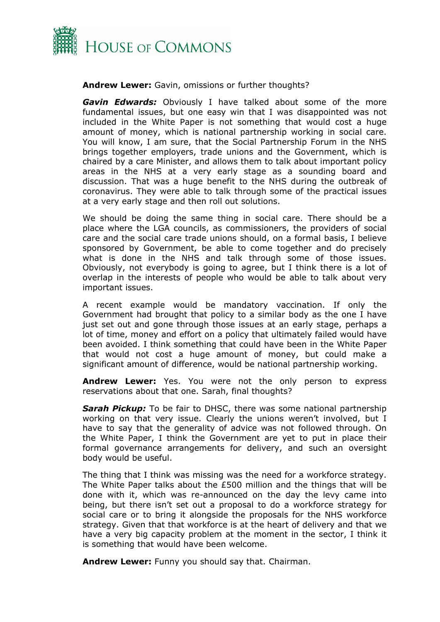

**Andrew Lewer:** Gavin, omissions or further thoughts?

*Gavin Edwards:* Obviously I have talked about some of the more fundamental issues, but one easy win that I was disappointed was not included in the White Paper is not something that would cost a huge amount of money, which is national partnership working in social care. You will know, I am sure, that the Social Partnership Forum in the NHS brings together employers, trade unions and the Government, which is chaired by a care Minister, and allows them to talk about important policy areas in the NHS at a very early stage as a sounding board and discussion. That was a huge benefit to the NHS during the outbreak of coronavirus. They were able to talk through some of the practical issues at a very early stage and then roll out solutions.

We should be doing the same thing in social care. There should be a place where the LGA councils, as commissioners, the providers of social care and the social care trade unions should, on a formal basis, I believe sponsored by Government, be able to come together and do precisely what is done in the NHS and talk through some of those issues. Obviously, not everybody is going to agree, but I think there is a lot of overlap in the interests of people who would be able to talk about very important issues.

A recent example would be mandatory vaccination. If only the Government had brought that policy to a similar body as the one I have just set out and gone through those issues at an early stage, perhaps a lot of time, money and effort on a policy that ultimately failed would have been avoided. I think something that could have been in the White Paper that would not cost a huge amount of money, but could make a significant amount of difference, would be national partnership working.

**Andrew Lewer:** Yes. You were not the only person to express reservations about that one. Sarah, final thoughts?

*Sarah Pickup:* To be fair to DHSC, there was some national partnership working on that very issue. Clearly the unions weren't involved, but I have to say that the generality of advice was not followed through. On the White Paper, I think the Government are yet to put in place their formal governance arrangements for delivery, and such an oversight body would be useful.

The thing that I think was missing was the need for a workforce strategy. The White Paper talks about the £500 million and the things that will be done with it, which was re-announced on the day the levy came into being, but there isn't set out a proposal to do a workforce strategy for social care or to bring it alongside the proposals for the NHS workforce strategy. Given that that workforce is at the heart of delivery and that we have a very big capacity problem at the moment in the sector, I think it is something that would have been welcome.

**Andrew Lewer:** Funny you should say that. Chairman.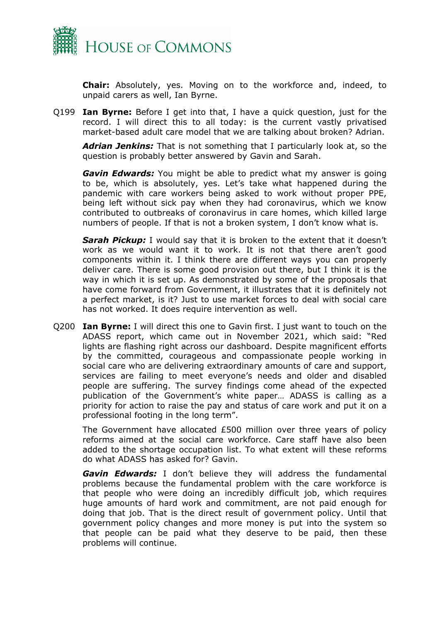

**Chair:** Absolutely, yes. Moving on to the workforce and, indeed, to unpaid carers as well, Ian Byrne.

Q199 **Ian Byrne:** Before I get into that, I have a quick question, just for the record. I will direct this to all today: is the current vastly privatised market-based adult care model that we are talking about broken? Adrian.

*Adrian Jenkins:* That is not something that I particularly look at, so the question is probably better answered by Gavin and Sarah.

*Gavin Edwards:* You might be able to predict what my answer is going to be, which is absolutely, yes. Let's take what happened during the pandemic with care workers being asked to work without proper PPE, being left without sick pay when they had coronavirus, which we know contributed to outbreaks of coronavirus in care homes, which killed large numbers of people. If that is not a broken system, I don't know what is.

*Sarah Pickup:* I would say that it is broken to the extent that it doesn't work as we would want it to work. It is not that there aren't good components within it. I think there are different ways you can properly deliver care. There is some good provision out there, but I think it is the way in which it is set up. As demonstrated by some of the proposals that have come forward from Government, it illustrates that it is definitely not a perfect market, is it? Just to use market forces to deal with social care has not worked. It does require intervention as well.

Q200 **Ian Byrne:** I will direct this one to Gavin first. I just want to touch on the ADASS report, which came out in November 2021, which said: "Red lights are flashing right across our dashboard. Despite magnificent efforts by the committed, courageous and compassionate people working in social care who are delivering extraordinary amounts of care and support, services are failing to meet everyone's needs and older and disabled people are suffering. The survey findings come ahead of the expected publication of the Government's white paper… ADASS is calling as a priority for action to raise the pay and status of care work and put it on a professional footing in the long term".

The Government have allocated £500 million over three years of policy reforms aimed at the social care workforce. Care staff have also been added to the shortage occupation list. To what extent will these reforms do what ADASS has asked for? Gavin.

*Gavin Edwards:* I don't believe they will address the fundamental problems because the fundamental problem with the care workforce is that people who were doing an incredibly difficult job, which requires huge amounts of hard work and commitment, are not paid enough for doing that job. That is the direct result of government policy. Until that government policy changes and more money is put into the system so that people can be paid what they deserve to be paid, then these problems will continue.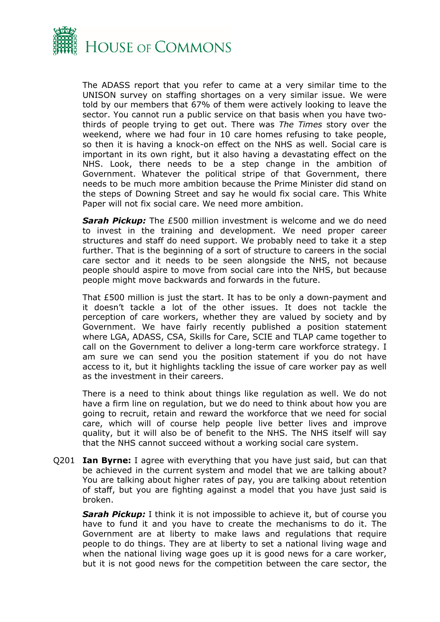

The ADASS report that you refer to came at a very similar time to the UNISON survey on staffing shortages on a very similar issue. We were told by our members that 67% of them were actively looking to leave the sector. You cannot run a public service on that basis when you have twothirds of people trying to get out. There was *The Times* story over the weekend, where we had four in 10 care homes refusing to take people, so then it is having a knock-on effect on the NHS as well. Social care is important in its own right, but it also having a devastating effect on the NHS. Look, there needs to be a step change in the ambition of Government. Whatever the political stripe of that Government, there needs to be much more ambition because the Prime Minister did stand on the steps of Downing Street and say he would fix social care. This White Paper will not fix social care. We need more ambition.

*Sarah Pickup:* The £500 million investment is welcome and we do need to invest in the training and development. We need proper career structures and staff do need support. We probably need to take it a step further. That is the beginning of a sort of structure to careers in the social care sector and it needs to be seen alongside the NHS, not because people should aspire to move from social care into the NHS, but because people might move backwards and forwards in the future.

That £500 million is just the start. It has to be only a down-payment and it doesn't tackle a lot of the other issues. It does not tackle the perception of care workers, whether they are valued by society and by Government. We have fairly recently published a position statement where LGA, ADASS, CSA, Skills for Care, SCIE and TLAP came together to call on the Government to deliver a long-term care workforce strategy. I am sure we can send you the position statement if you do not have access to it, but it highlights tackling the issue of care worker pay as well as the investment in their careers.

There is a need to think about things like regulation as well. We do not have a firm line on regulation, but we do need to think about how you are going to recruit, retain and reward the workforce that we need for social care, which will of course help people live better lives and improve quality, but it will also be of benefit to the NHS. The NHS itself will say that the NHS cannot succeed without a working social care system.

Q201 **Ian Byrne:** I agree with everything that you have just said, but can that be achieved in the current system and model that we are talking about? You are talking about higher rates of pay, you are talking about retention of staff, but you are fighting against a model that you have just said is broken.

*Sarah Pickup:* I think it is not impossible to achieve it, but of course you have to fund it and you have to create the mechanisms to do it. The Government are at liberty to make laws and regulations that require people to do things. They are at liberty to set a national living wage and when the national living wage goes up it is good news for a care worker, but it is not good news for the competition between the care sector, the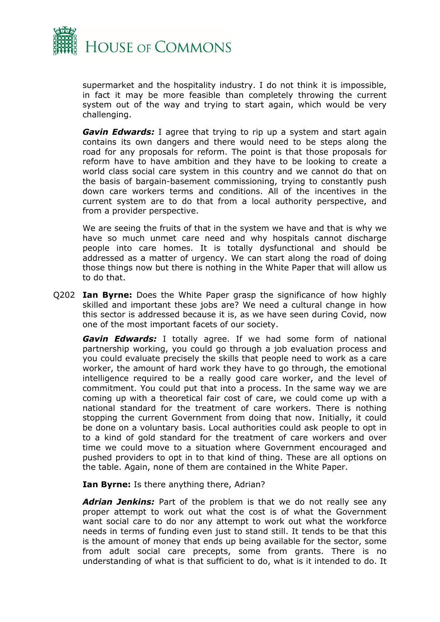

supermarket and the hospitality industry. I do not think it is impossible, in fact it may be more feasible than completely throwing the current system out of the way and trying to start again, which would be very challenging.

*Gavin Edwards:* I agree that trying to rip up a system and start again contains its own dangers and there would need to be steps along the road for any proposals for reform. The point is that those proposals for reform have to have ambition and they have to be looking to create a world class social care system in this country and we cannot do that on the basis of bargain-basement commissioning, trying to constantly push down care workers terms and conditions. All of the incentives in the current system are to do that from a local authority perspective, and from a provider perspective.

We are seeing the fruits of that in the system we have and that is why we have so much unmet care need and why hospitals cannot discharge people into care homes. It is totally dysfunctional and should be addressed as a matter of urgency. We can start along the road of doing those things now but there is nothing in the White Paper that will allow us to do that.

Q202 **Ian Byrne:** Does the White Paper grasp the significance of how highly skilled and important these jobs are? We need a cultural change in how this sector is addressed because it is, as we have seen during Covid, now one of the most important facets of our society.

*Gavin Edwards:* I totally agree. If we had some form of national partnership working, you could go through a job evaluation process and you could evaluate precisely the skills that people need to work as a care worker, the amount of hard work they have to go through, the emotional intelligence required to be a really good care worker, and the level of commitment. You could put that into a process. In the same way we are coming up with a theoretical fair cost of care, we could come up with a national standard for the treatment of care workers. There is nothing stopping the current Government from doing that now. Initially, it could be done on a voluntary basis. Local authorities could ask people to opt in to a kind of gold standard for the treatment of care workers and over time we could move to a situation where Government encouraged and pushed providers to opt in to that kind of thing. These are all options on the table. Again, none of them are contained in the White Paper.

**Ian Byrne:** Is there anything there, Adrian?

*Adrian Jenkins:* Part of the problem is that we do not really see any proper attempt to work out what the cost is of what the Government want social care to do nor any attempt to work out what the workforce needs in terms of funding even just to stand still. It tends to be that this is the amount of money that ends up being available for the sector, some from adult social care precepts, some from grants. There is no understanding of what is that sufficient to do, what is it intended to do. It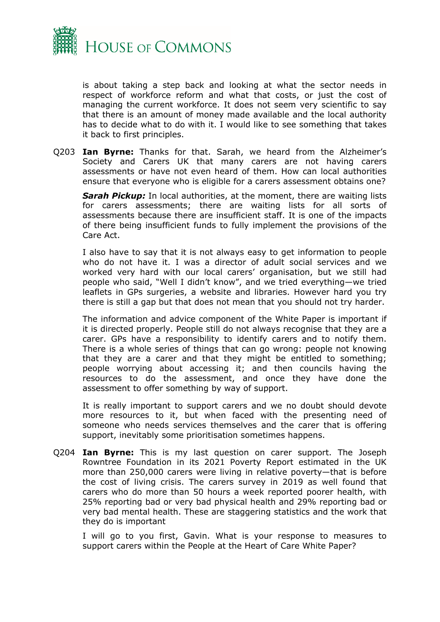

is about taking a step back and looking at what the sector needs in respect of workforce reform and what that costs, or just the cost of managing the current workforce. It does not seem very scientific to say that there is an amount of money made available and the local authority has to decide what to do with it. I would like to see something that takes it back to first principles.

Q203 **Ian Byrne:** Thanks for that. Sarah, we heard from the Alzheimer's Society and Carers UK that many carers are not having carers assessments or have not even heard of them. How can local authorities ensure that everyone who is eligible for a carers assessment obtains one?

*Sarah Pickup:* In local authorities, at the moment, there are waiting lists for carers assessments; there are waiting lists for all sorts of assessments because there are insufficient staff. It is one of the impacts of there being insufficient funds to fully implement the provisions of the Care Act.

I also have to say that it is not always easy to get information to people who do not have it. I was a director of adult social services and we worked very hard with our local carers' organisation, but we still had people who said, "Well I didn't know", and we tried everything—we tried leaflets in GPs surgeries, a website and libraries. However hard you try there is still a gap but that does not mean that you should not try harder.

The information and advice component of the White Paper is important if it is directed properly. People still do not always recognise that they are a carer. GPs have a responsibility to identify carers and to notify them. There is a whole series of things that can go wrong: people not knowing that they are a carer and that they might be entitled to something; people worrying about accessing it; and then councils having the resources to do the assessment, and once they have done the assessment to offer something by way of support.

It is really important to support carers and we no doubt should devote more resources to it, but when faced with the presenting need of someone who needs services themselves and the carer that is offering support, inevitably some prioritisation sometimes happens.

Q204 **Ian Byrne:** This is my last question on carer support. The Joseph Rowntree Foundation in its 2021 Poverty Report estimated in the UK more than 250,000 carers were living in relative poverty—that is before the cost of living crisis. The carers survey in 2019 as well found that carers who do more than 50 hours a week reported poorer health, with 25% reporting bad or very bad physical health and 29% reporting bad or very bad mental health. These are staggering statistics and the work that they do is important

I will go to you first, Gavin. What is your response to measures to support carers within the People at the Heart of Care White Paper?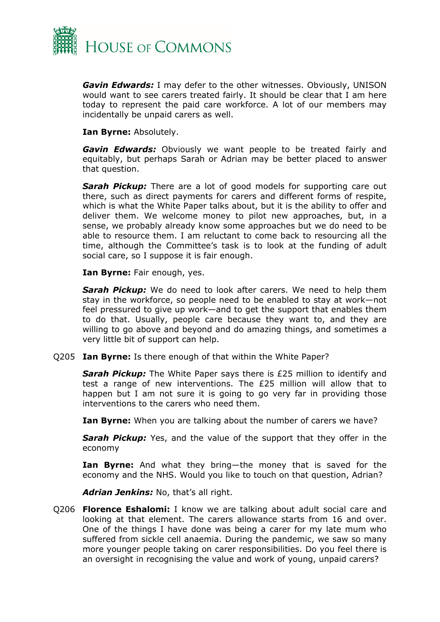

*Gavin Edwards:* I may defer to the other witnesses. Obviously, UNISON would want to see carers treated fairly. It should be clear that I am here today to represent the paid care workforce. A lot of our members may incidentally be unpaid carers as well.

**Ian Byrne:** Absolutely.

*Gavin Edwards:* Obviously we want people to be treated fairly and equitably, but perhaps Sarah or Adrian may be better placed to answer that question.

*Sarah Pickup:* There are a lot of good models for supporting care out there, such as direct payments for carers and different forms of respite, which is what the White Paper talks about, but it is the ability to offer and deliver them. We welcome money to pilot new approaches, but, in a sense, we probably already know some approaches but we do need to be able to resource them. I am reluctant to come back to resourcing all the time, although the Committee's task is to look at the funding of adult social care, so I suppose it is fair enough.

**Ian Byrne:** Fair enough, yes.

*Sarah Pickup:* We do need to look after carers. We need to help them stay in the workforce, so people need to be enabled to stay at work—not feel pressured to give up work—and to get the support that enables them to do that. Usually, people care because they want to, and they are willing to go above and beyond and do amazing things, and sometimes a very little bit of support can help.

Q205 **Ian Byrne:** Is there enough of that within the White Paper?

*Sarah Pickup:* The White Paper says there is £25 million to identify and test a range of new interventions. The £25 million will allow that to happen but I am not sure it is going to go very far in providing those interventions to the carers who need them.

**Ian Byrne:** When you are talking about the number of carers we have?

*Sarah Pickup:* Yes, and the value of the support that they offer in the economy

**Ian Byrne:** And what they bring—the money that is saved for the economy and the NHS. Would you like to touch on that question, Adrian?

*Adrian Jenkins:* No, that's all right.

Q206 **Florence Eshalomi:** I know we are talking about adult social care and looking at that element. The carers allowance starts from 16 and over. One of the things I have done was being a carer for my late mum who suffered from sickle cell anaemia. During the pandemic, we saw so many more younger people taking on carer responsibilities. Do you feel there is an oversight in recognising the value and work of young, unpaid carers?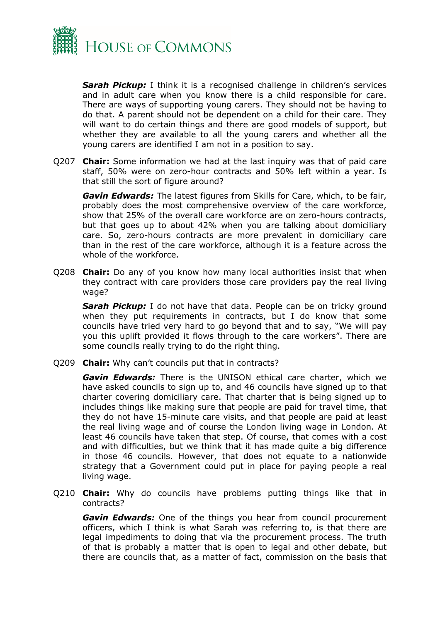

*Sarah Pickup:* I think it is a recognised challenge in children's services and in adult care when you know there is a child responsible for care. There are ways of supporting young carers. They should not be having to do that. A parent should not be dependent on a child for their care. They will want to do certain things and there are good models of support, but whether they are available to all the young carers and whether all the young carers are identified I am not in a position to say.

Q207 **Chair:** Some information we had at the last inquiry was that of paid care staff, 50% were on zero-hour contracts and 50% left within a year. Is that still the sort of figure around?

*Gavin Edwards:* The latest figures from Skills for Care, which, to be fair, probably does the most comprehensive overview of the care workforce, show that 25% of the overall care workforce are on zero-hours contracts, but that goes up to about 42% when you are talking about domiciliary care. So, zero-hours contracts are more prevalent in domiciliary care than in the rest of the care workforce, although it is a feature across the whole of the workforce.

Q208 **Chair:** Do any of you know how many local authorities insist that when they contract with care providers those care providers pay the real living wage?

*Sarah Pickup:* I do not have that data. People can be on tricky ground when they put requirements in contracts, but I do know that some councils have tried very hard to go beyond that and to say, "We will pay you this uplift provided it flows through to the care workers". There are some councils really trying to do the right thing.

Q209 **Chair:** Why can't councils put that in contracts?

*Gavin Edwards:* There is the UNISON ethical care charter, which we have asked councils to sign up to, and 46 councils have signed up to that charter covering domiciliary care. That charter that is being signed up to includes things like making sure that people are paid for travel time, that they do not have 15-minute care visits, and that people are paid at least the real living wage and of course the London living wage in London. At least 46 councils have taken that step. Of course, that comes with a cost and with difficulties, but we think that it has made quite a big difference in those 46 councils. However, that does not equate to a nationwide strategy that a Government could put in place for paying people a real living wage.

Q210 **Chair:** Why do councils have problems putting things like that in contracts?

*Gavin Edwards:* One of the things you hear from council procurement officers, which I think is what Sarah was referring to, is that there are legal impediments to doing that via the procurement process. The truth of that is probably a matter that is open to legal and other debate, but there are councils that, as a matter of fact, commission on the basis that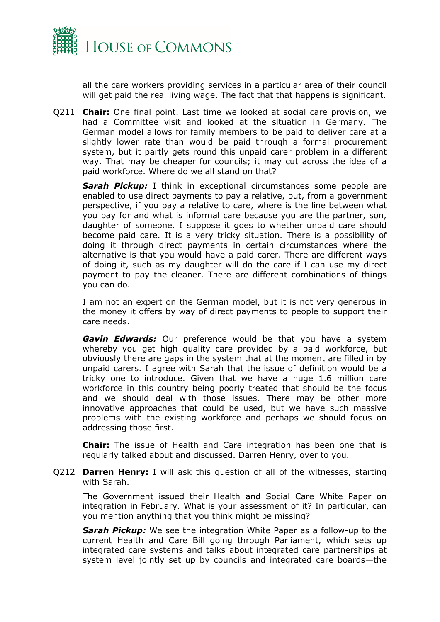

all the care workers providing services in a particular area of their council will get paid the real living wage. The fact that that happens is significant.

Q211 **Chair:** One final point. Last time we looked at social care provision, we had a Committee visit and looked at the situation in Germany. The German model allows for family members to be paid to deliver care at a slightly lower rate than would be paid through a formal procurement system, but it partly gets round this unpaid carer problem in a different way. That may be cheaper for councils; it may cut across the idea of a paid workforce. Where do we all stand on that?

*Sarah Pickup:* I think in exceptional circumstances some people are enabled to use direct payments to pay a relative, but, from a government perspective, if you pay a relative to care, where is the line between what you pay for and what is informal care because you are the partner, son, daughter of someone. I suppose it goes to whether unpaid care should become paid care. It is a very tricky situation. There is a possibility of doing it through direct payments in certain circumstances where the alternative is that you would have a paid carer. There are different ways of doing it, such as my daughter will do the care if I can use my direct payment to pay the cleaner. There are different combinations of things you can do.

I am not an expert on the German model, but it is not very generous in the money it offers by way of direct payments to people to support their care needs.

*Gavin Edwards:* Our preference would be that you have a system whereby you get high quality care provided by a paid workforce, but obviously there are gaps in the system that at the moment are filled in by unpaid carers. I agree with Sarah that the issue of definition would be a tricky one to introduce. Given that we have a huge 1.6 million care workforce in this country being poorly treated that should be the focus and we should deal with those issues. There may be other more innovative approaches that could be used, but we have such massive problems with the existing workforce and perhaps we should focus on addressing those first.

**Chair:** The issue of Health and Care integration has been one that is regularly talked about and discussed. Darren Henry, over to you.

Q212 **Darren Henry:** I will ask this question of all of the witnesses, starting with Sarah.

The Government issued their Health and Social Care White Paper on integration in February. What is your assessment of it? In particular, can you mention anything that you think might be missing?

*Sarah Pickup:* We see the integration White Paper as a follow-up to the current Health and Care Bill going through Parliament, which sets up integrated care systems and talks about integrated care partnerships at system level jointly set up by councils and integrated care boards—the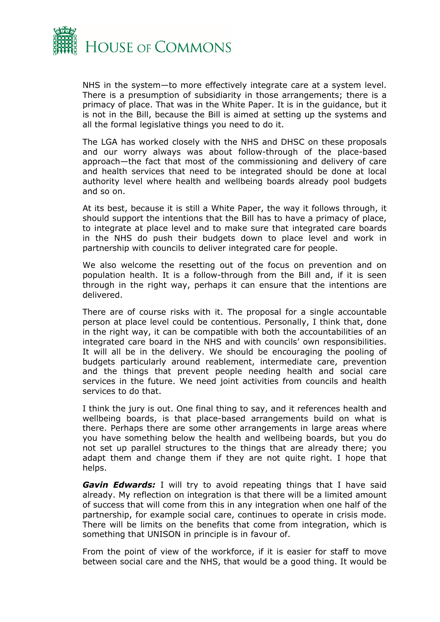

NHS in the system—to more effectively integrate care at a system level. There is a presumption of subsidiarity in those arrangements; there is a primacy of place. That was in the White Paper. It is in the guidance, but it is not in the Bill, because the Bill is aimed at setting up the systems and all the formal legislative things you need to do it.

The LGA has worked closely with the NHS and DHSC on these proposals and our worry always was about follow-through of the place-based approach—the fact that most of the commissioning and delivery of care and health services that need to be integrated should be done at local authority level where health and wellbeing boards already pool budgets and so on.

At its best, because it is still a White Paper, the way it follows through, it should support the intentions that the Bill has to have a primacy of place, to integrate at place level and to make sure that integrated care boards in the NHS do push their budgets down to place level and work in partnership with councils to deliver integrated care for people.

We also welcome the resetting out of the focus on prevention and on population health. It is a follow-through from the Bill and, if it is seen through in the right way, perhaps it can ensure that the intentions are delivered.

There are of course risks with it. The proposal for a single accountable person at place level could be contentious. Personally, I think that, done in the right way, it can be compatible with both the accountabilities of an integrated care board in the NHS and with councils' own responsibilities. It will all be in the delivery. We should be encouraging the pooling of budgets particularly around reablement, intermediate care, prevention and the things that prevent people needing health and social care services in the future. We need joint activities from councils and health services to do that.

I think the jury is out. One final thing to say, and it references health and wellbeing boards, is that place-based arrangements build on what is there. Perhaps there are some other arrangements in large areas where you have something below the health and wellbeing boards, but you do not set up parallel structures to the things that are already there; you adapt them and change them if they are not quite right. I hope that helps.

*Gavin Edwards:* I will try to avoid repeating things that I have said already. My reflection on integration is that there will be a limited amount of success that will come from this in any integration when one half of the partnership, for example social care, continues to operate in crisis mode. There will be limits on the benefits that come from integration, which is something that UNISON in principle is in favour of.

From the point of view of the workforce, if it is easier for staff to move between social care and the NHS, that would be a good thing. It would be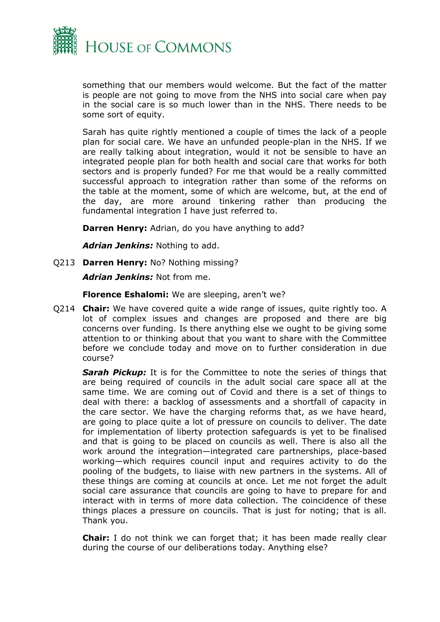

something that our members would welcome. But the fact of the matter is people are not going to move from the NHS into social care when pay in the social care is so much lower than in the NHS. There needs to be some sort of equity.

Sarah has quite rightly mentioned a couple of times the lack of a people plan for social care. We have an unfunded people-plan in the NHS. If we are really talking about integration, would it not be sensible to have an integrated people plan for both health and social care that works for both sectors and is properly funded? For me that would be a really committed successful approach to integration rather than some of the reforms on the table at the moment, some of which are welcome, but, at the end of the day, are more around tinkering rather than producing the fundamental integration I have just referred to.

**Darren Henry:** Adrian, do you have anything to add?

*Adrian Jenkins:* Nothing to add.

Q213 **Darren Henry:** No? Nothing missing?

*Adrian Jenkins:* Not from me.

**Florence Eshalomi:** We are sleeping, aren't we?

Q214 **Chair:** We have covered quite a wide range of issues, quite rightly too. A lot of complex issues and changes are proposed and there are big concerns over funding. Is there anything else we ought to be giving some attention to or thinking about that you want to share with the Committee before we conclude today and move on to further consideration in due course?

*Sarah Pickup:* It is for the Committee to note the series of things that are being required of councils in the adult social care space all at the same time. We are coming out of Covid and there is a set of things to deal with there: a backlog of assessments and a shortfall of capacity in the care sector. We have the charging reforms that, as we have heard, are going to place quite a lot of pressure on councils to deliver. The date for implementation of liberty protection safeguards is yet to be finalised and that is going to be placed on councils as well. There is also all the work around the integration—integrated care partnerships, place-based working—which requires council input and requires activity to do the pooling of the budgets, to liaise with new partners in the systems. All of these things are coming at councils at once. Let me not forget the adult social care assurance that councils are going to have to prepare for and interact with in terms of more data collection. The coincidence of these things places a pressure on councils. That is just for noting; that is all. Thank you.

**Chair:** I do not think we can forget that; it has been made really clear during the course of our deliberations today. Anything else?